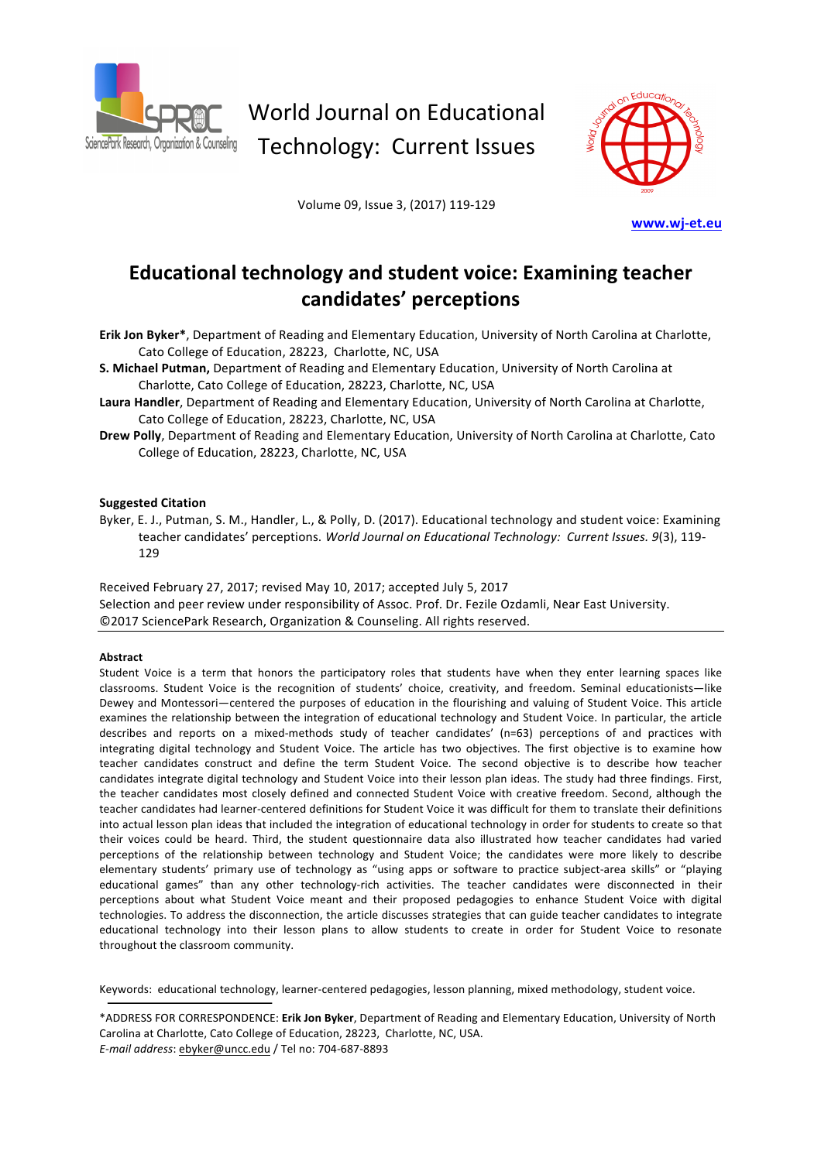

World Journal on Educational Technology: Current Issues

Volume 09, Issue 3, (2017) 119-129



**www.wj-et.eu**

## **Educational technology and student voice: Examining teacher candidates' perceptions**

**Erik Jon Byker\***, Department of Reading and Elementary Education, University of North Carolina at Charlotte, Cato College of Education, 28223, Charlotte, NC, USA

S. Michael Putman, Department of Reading and Elementary Education, University of North Carolina at Charlotte, Cato College of Education, 28223, Charlotte, NC, USA

Laura Handler, Department of Reading and Elementary Education, University of North Carolina at Charlotte, Cato College of Education, 28223, Charlotte, NC, USA

**Drew Polly**, Department of Reading and Elementary Education, University of North Carolina at Charlotte, Cato College of Education, 28223, Charlotte, NC, USA

#### **Suggested Citation**

Byker, E. J., Putman, S. M., Handler, L., & Polly, D. (2017). Educational technology and student voice: Examining teacher candidates' perceptions. *World Journal on Educational Technology: Current Issues.* 9(3), 119-129

Received February 27, 2017; revised May 10, 2017; accepted July 5, 2017 Selection and peer review under responsibility of Assoc. Prof. Dr. Fezile Ozdamli, Near East University. ©2017 SciencePark Research, Organization & Counseling. All rights reserved.

#### **Abstract**

Student Voice is a term that honors the participatory roles that students have when they enter learning spaces like classrooms. Student Voice is the recognition of students' choice, creativity, and freedom. Seminal educationists—like Dewey and Montessori—centered the purposes of education in the flourishing and valuing of Student Voice. This article examines the relationship between the integration of educational technology and Student Voice. In particular, the article describes and reports on a mixed-methods study of teacher candidates' (n=63) perceptions of and practices with integrating digital technology and Student Voice. The article has two objectives. The first objective is to examine how teacher candidates construct and define the term Student Voice. The second objective is to describe how teacher candidates integrate digital technology and Student Voice into their lesson plan ideas. The study had three findings. First, the teacher candidates most closely defined and connected Student Voice with creative freedom. Second, although the teacher candidates had learner-centered definitions for Student Voice it was difficult for them to translate their definitions into actual lesson plan ideas that included the integration of educational technology in order for students to create so that their voices could be heard. Third, the student questionnaire data also illustrated how teacher candidates had varied perceptions of the relationship between technology and Student Voice; the candidates were more likely to describe elementary students' primary use of technology as "using apps or software to practice subject-area skills" or "playing educational games" than any other technology-rich activities. The teacher candidates were disconnected in their perceptions about what Student Voice meant and their proposed pedagogies to enhance Student Voice with digital technologies. To address the disconnection, the article discusses strategies that can guide teacher candidates to integrate educational technology into their lesson plans to allow students to create in order for Student Voice to resonate throughout the classroom community.

Keywords: educational technology, learner-centered pedagogies, lesson planning, mixed methodology, student voice.

\*ADDRESS FOR CORRESPONDENCE: Erik Jon Byker, Department of Reading and Elementary Education, University of North Carolina at Charlotte, Cato College of Education, 28223, Charlotte, NC, USA. *E-mail address*: ebyker@uncc.edu / Tel no: 704-687-8893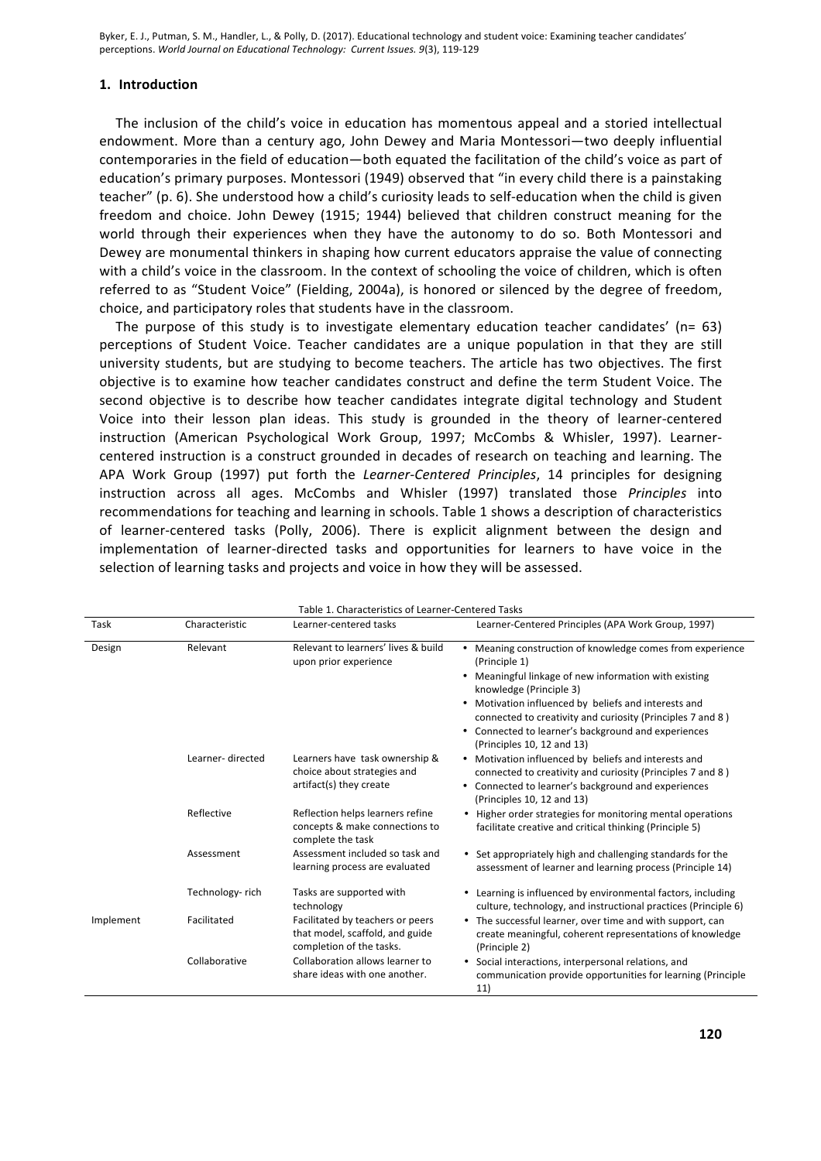## **1. Introduction**

The inclusion of the child's voice in education has momentous appeal and a storied intellectual endowment. More than a century ago, John Dewey and Maria Montessori—two deeply influential contemporaries in the field of education—both equated the facilitation of the child's voice as part of education's primary purposes. Montessori (1949) observed that "in every child there is a painstaking teacher" (p. 6). She understood how a child's curiosity leads to self-education when the child is given freedom and choice. John Dewey (1915; 1944) believed that children construct meaning for the world through their experiences when they have the autonomy to do so. Both Montessori and Dewey are monumental thinkers in shaping how current educators appraise the value of connecting with a child's voice in the classroom. In the context of schooling the voice of children, which is often referred to as "Student Voice" (Fielding, 2004a), is honored or silenced by the degree of freedom, choice, and participatory roles that students have in the classroom.

The purpose of this study is to investigate elementary education teacher candidates' ( $n=63$ ) perceptions of Student Voice. Teacher candidates are a unique population in that they are still university students, but are studying to become teachers. The article has two objectives. The first objective is to examine how teacher candidates construct and define the term Student Voice. The second objective is to describe how teacher candidates integrate digital technology and Student Voice into their lesson plan ideas. This study is grounded in the theory of learner-centered instruction (American Psychological Work Group, 1997; McCombs & Whisler, 1997). Learnercentered instruction is a construct grounded in decades of research on teaching and learning. The APA Work Group (1997) put forth the *Learner-Centered Principles*, 14 principles for designing instruction across all ages. McCombs and Whisler (1997) translated those *Principles* into recommendations for teaching and learning in schools. Table 1 shows a description of characteristics of learner-centered tasks (Polly, 2006). There is explicit alignment between the design and implementation of learner-directed tasks and opportunities for learners to have voice in the selection of learning tasks and projects and voice in how they will be assessed.

| Table 1. Characteristics of Learner-Centered Tasks |                  |                                                                                                 |                                                                                                                                                                                                                                         |  |  |  |
|----------------------------------------------------|------------------|-------------------------------------------------------------------------------------------------|-----------------------------------------------------------------------------------------------------------------------------------------------------------------------------------------------------------------------------------------|--|--|--|
| Task                                               | Characteristic   | Learner-centered tasks                                                                          | Learner-Centered Principles (APA Work Group, 1997)                                                                                                                                                                                      |  |  |  |
| Design                                             | Relevant         | Relevant to learners' lives & build<br>upon prior experience                                    | Meaning construction of knowledge comes from experience<br>٠<br>(Principle 1)<br>Meaningful linkage of new information with existing<br>$\bullet$<br>knowledge (Principle 3)<br>Motivation influenced by beliefs and interests and<br>٠ |  |  |  |
|                                                    |                  |                                                                                                 | connected to creativity and curiosity (Principles 7 and 8)<br>Connected to learner's background and experiences<br>٠<br>(Principles 10, 12 and 13)                                                                                      |  |  |  |
|                                                    | Learner-directed | Learners have task ownership &<br>choice about strategies and<br>artifact(s) they create        | Motivation influenced by beliefs and interests and<br>$\bullet$<br>connected to creativity and curiosity (Principles 7 and 8)<br>• Connected to learner's background and experiences<br>(Principles 10, 12 and 13)                      |  |  |  |
|                                                    | Reflective       | Reflection helps learners refine<br>concepts & make connections to<br>complete the task         | • Higher order strategies for monitoring mental operations<br>facilitate creative and critical thinking (Principle 5)                                                                                                                   |  |  |  |
|                                                    | Assessment       | Assessment included so task and<br>learning process are evaluated                               | • Set appropriately high and challenging standards for the<br>assessment of learner and learning process (Principle 14)                                                                                                                 |  |  |  |
|                                                    | Technology-rich  | Tasks are supported with<br>technology                                                          | Learning is influenced by environmental factors, including<br>culture, technology, and instructional practices (Principle 6)                                                                                                            |  |  |  |
| Implement                                          | Facilitated      | Facilitated by teachers or peers<br>that model, scaffold, and guide<br>completion of the tasks. | • The successful learner, over time and with support, can<br>create meaningful, coherent representations of knowledge<br>(Principle 2)                                                                                                  |  |  |  |
|                                                    | Collaborative    | Collaboration allows learner to<br>share ideas with one another.                                | Social interactions, interpersonal relations, and<br>٠<br>communication provide opportunities for learning (Principle<br>11)                                                                                                            |  |  |  |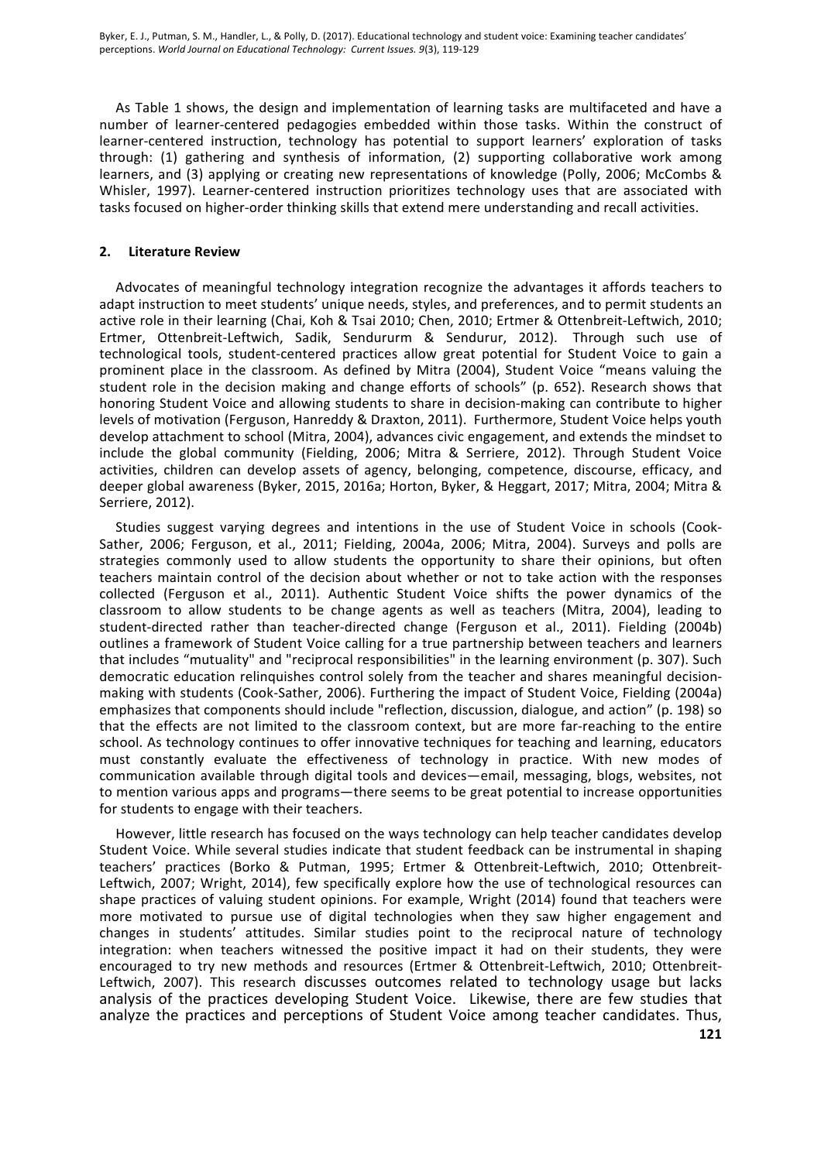As Table 1 shows, the design and implementation of learning tasks are multifaceted and have a number of learner-centered pedagogies embedded within those tasks. Within the construct of learner-centered instruction, technology has potential to support learners' exploration of tasks through: (1) gathering and synthesis of information, (2) supporting collaborative work among learners, and (3) applying or creating new representations of knowledge (Polly, 2006; McCombs & Whisler, 1997). Learner-centered instruction prioritizes technology uses that are associated with tasks focused on higher-order thinking skills that extend mere understanding and recall activities.

#### **2. Literature Review**

Advocates of meaningful technology integration recognize the advantages it affords teachers to adapt instruction to meet students' unique needs, styles, and preferences, and to permit students an active role in their learning (Chai, Koh & Tsai 2010; Chen, 2010; Ertmer & Ottenbreit-Leftwich, 2010; Ertmer, Ottenbreit-Leftwich, Sadik, Sendururm & Sendurur, 2012). Through such use of technological tools, student-centered practices allow great potential for Student Voice to gain a prominent place in the classroom. As defined by Mitra (2004), Student Voice "means valuing the student role in the decision making and change efforts of schools" (p. 652). Research shows that honoring Student Voice and allowing students to share in decision-making can contribute to higher levels of motivation (Ferguson, Hanreddy & Draxton, 2011). Furthermore, Student Voice helps youth develop attachment to school (Mitra, 2004), advances civic engagement, and extends the mindset to include the global community (Fielding, 2006; Mitra & Serriere, 2012). Through Student Voice activities, children can develop assets of agency, belonging, competence, discourse, efficacy, and deeper global awareness (Byker, 2015, 2016a; Horton, Byker, & Heggart, 2017; Mitra, 2004; Mitra & Serriere, 2012).

Studies suggest varying degrees and intentions in the use of Student Voice in schools (Cook-Sather, 2006; Ferguson, et al., 2011; Fielding, 2004a, 2006; Mitra, 2004). Surveys and polls are strategies commonly used to allow students the opportunity to share their opinions, but often teachers maintain control of the decision about whether or not to take action with the responses collected (Ferguson et al., 2011). Authentic Student Voice shifts the power dynamics of the classroom to allow students to be change agents as well as teachers (Mitra, 2004), leading to student-directed rather than teacher-directed change (Ferguson et al., 2011). Fielding (2004b) outlines a framework of Student Voice calling for a true partnership between teachers and learners that includes "mutuality" and "reciprocal responsibilities" in the learning environment (p. 307). Such democratic education relinquishes control solely from the teacher and shares meaningful decisionmaking with students (Cook-Sather, 2006). Furthering the impact of Student Voice, Fielding (2004a) emphasizes that components should include "reflection, discussion, dialogue, and action" (p. 198) so that the effects are not limited to the classroom context, but are more far-reaching to the entire school. As technology continues to offer innovative techniques for teaching and learning, educators must constantly evaluate the effectiveness of technology in practice. With new modes of communication available through digital tools and devices—email, messaging, blogs, websites, not to mention various apps and programs—there seems to be great potential to increase opportunities for students to engage with their teachers.

However, little research has focused on the ways technology can help teacher candidates develop Student Voice. While several studies indicate that student feedback can be instrumental in shaping teachers' practices (Borko & Putman, 1995; Ertmer & Ottenbreit-Leftwich, 2010; Ottenbreit-Leftwich, 2007; Wright, 2014), few specifically explore how the use of technological resources can shape practices of valuing student opinions. For example, Wright (2014) found that teachers were more motivated to pursue use of digital technologies when they saw higher engagement and changes in students' attitudes. Similar studies point to the reciprocal nature of technology integration: when teachers witnessed the positive impact it had on their students, they were encouraged to try new methods and resources (Ertmer & Ottenbreit-Leftwich, 2010; Ottenbreit-Leftwich, 2007). This research discusses outcomes related to technology usage but lacks analysis of the practices developing Student Voice. Likewise, there are few studies that analyze the practices and perceptions of Student Voice among teacher candidates. Thus,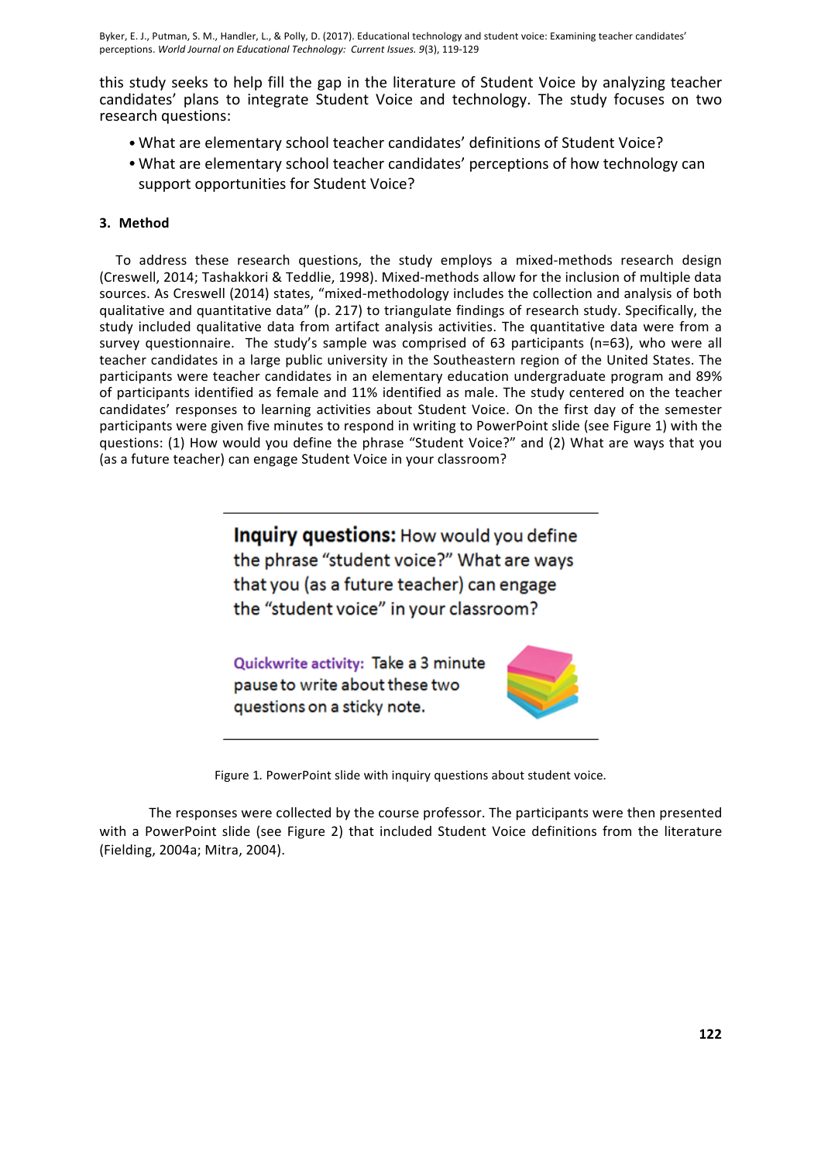this study seeks to help fill the gap in the literature of Student Voice by analyzing teacher candidates' plans to integrate Student Voice and technology. The study focuses on two research questions:

- What are elementary school teacher candidates' definitions of Student Voice?
- What are elementary school teacher candidates' perceptions of how technology can support opportunities for Student Voice?

## **3. Method**

To address these research questions, the study employs a mixed-methods research design (Creswell, 2014; Tashakkori & Teddlie, 1998). Mixed-methods allow for the inclusion of multiple data sources. As Creswell (2014) states, "mixed-methodology includes the collection and analysis of both qualitative and quantitative data" (p. 217) to triangulate findings of research study. Specifically, the study included qualitative data from artifact analysis activities. The quantitative data were from a survey questionnaire. The study's sample was comprised of 63 participants (n=63), who were all teacher candidates in a large public university in the Southeastern region of the United States. The participants were teacher candidates in an elementary education undergraduate program and 89% of participants identified as female and 11% identified as male. The study centered on the teacher candidates' responses to learning activities about Student Voice. On the first day of the semester participants were given five minutes to respond in writing to PowerPoint slide (see Figure 1) with the questions: (1) How would you define the phrase "Student Voice?" and (2) What are ways that you (as a future teacher) can engage Student Voice in your classroom?

> Inquiry questions: How would you define the phrase "student voice?" What are ways that you (as a future teacher) can engage the "student voice" in your classroom?

Quickwrite activity: Take a 3 minute pause to write about these two questions on a sticky note.



Figure 1. PowerPoint slide with inquiry questions about student voice.

The responses were collected by the course professor. The participants were then presented with a PowerPoint slide (see Figure 2) that included Student Voice definitions from the literature (Fielding, 2004a; Mitra, 2004).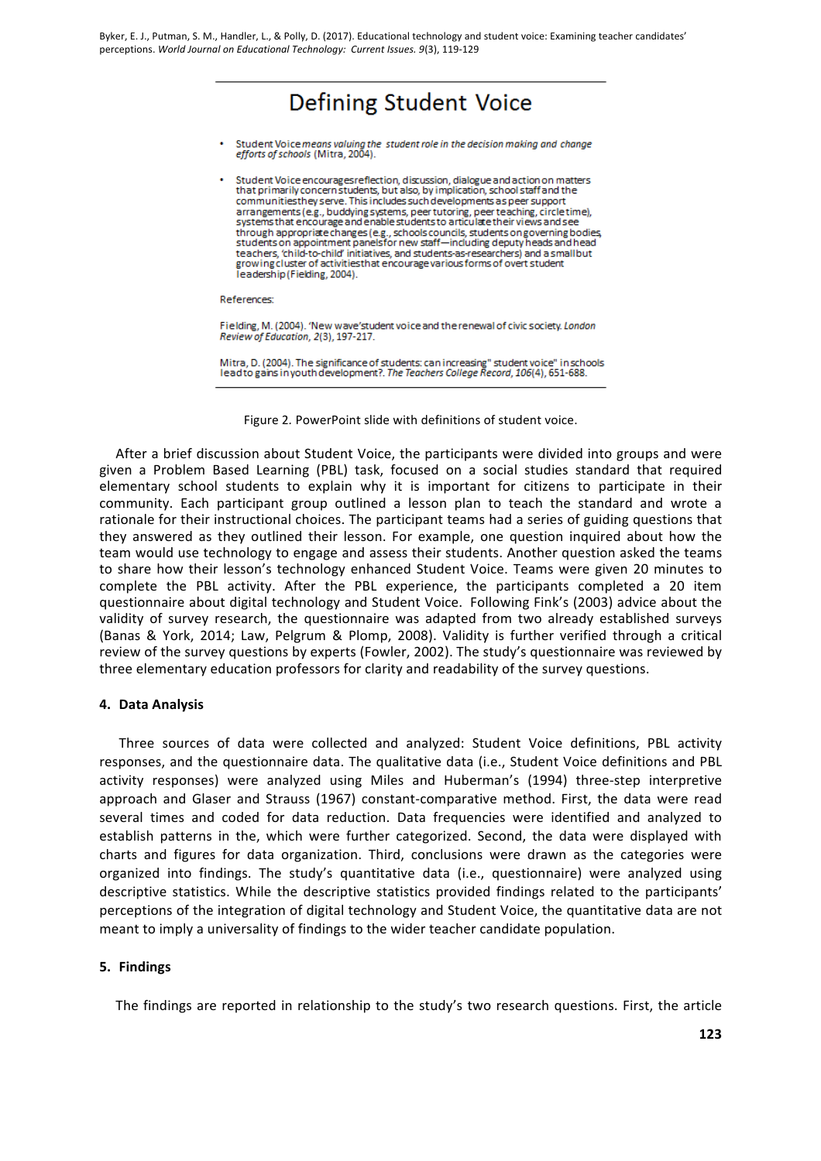# **Defining Student Voice**

- Student Voice means valuing the student role in the decision making and change efforts of schools (Mitra, 2004).
- Student Voice encourages reflection, discussion, dialogue and action on matters<br>that primarily concern students, but also, by implication, school staff and the communities they serve. This includes such developments as peer support arrangements (e.g., buddying systems, peer tutoring, peer teaching, circle time), systems that encourage and enable students to articulate their views and see systems and choose can changes (e.g., schools councils, students on governing bodies,<br>students on appropriate changes (e.g., schools councils, students on governing bodies,<br>students on appointment panels for new staff—incl teachers, 'child-to-child' initiatives, and students-as-researchers) and a small but growing cluster of activities that encourage various forms of overt student leadership (Fielding, 2004).

References:

Fielding, M. (2004). 'New wave'student voice and the renewal of civic society. London Review of Education, 2(3), 197-217.

Mitra, D. (2004). The significance of students: can increasing" student voice" in schools leadto gains in youth development?. The Teachers College Record, 106(4), 651-688.



After a brief discussion about Student Voice, the participants were divided into groups and were given a Problem Based Learning (PBL) task, focused on a social studies standard that required elementary school students to explain why it is important for citizens to participate in their community. Each participant group outlined a lesson plan to teach the standard and wrote a rationale for their instructional choices. The participant teams had a series of guiding questions that they answered as they outlined their lesson. For example, one question inquired about how the team would use technology to engage and assess their students. Another question asked the teams to share how their lesson's technology enhanced Student Voice. Teams were given 20 minutes to complete the PBL activity. After the PBL experience, the participants completed a 20 item questionnaire about digital technology and Student Voice. Following Fink's (2003) advice about the validity of survey research, the questionnaire was adapted from two already established surveys (Banas & York, 2014; Law, Pelgrum & Plomp, 2008). Validity is further verified through a critical review of the survey questions by experts (Fowler, 2002). The study's questionnaire was reviewed by three elementary education professors for clarity and readability of the survey questions.

## **4. Data Analysis**

Three sources of data were collected and analyzed: Student Voice definitions, PBL activity responses, and the questionnaire data. The qualitative data (i.e., Student Voice definitions and PBL activity responses) were analyzed using Miles and Huberman's (1994) three-step interpretive approach and Glaser and Strauss (1967) constant-comparative method. First, the data were read several times and coded for data reduction. Data frequencies were identified and analyzed to establish patterns in the, which were further categorized. Second, the data were displayed with charts and figures for data organization. Third, conclusions were drawn as the categories were organized into findings. The study's quantitative data (i.e., questionnaire) were analyzed using descriptive statistics. While the descriptive statistics provided findings related to the participants' perceptions of the integration of digital technology and Student Voice, the quantitative data are not meant to imply a universality of findings to the wider teacher candidate population.

## **5. Findings**

The findings are reported in relationship to the study's two research questions. First, the article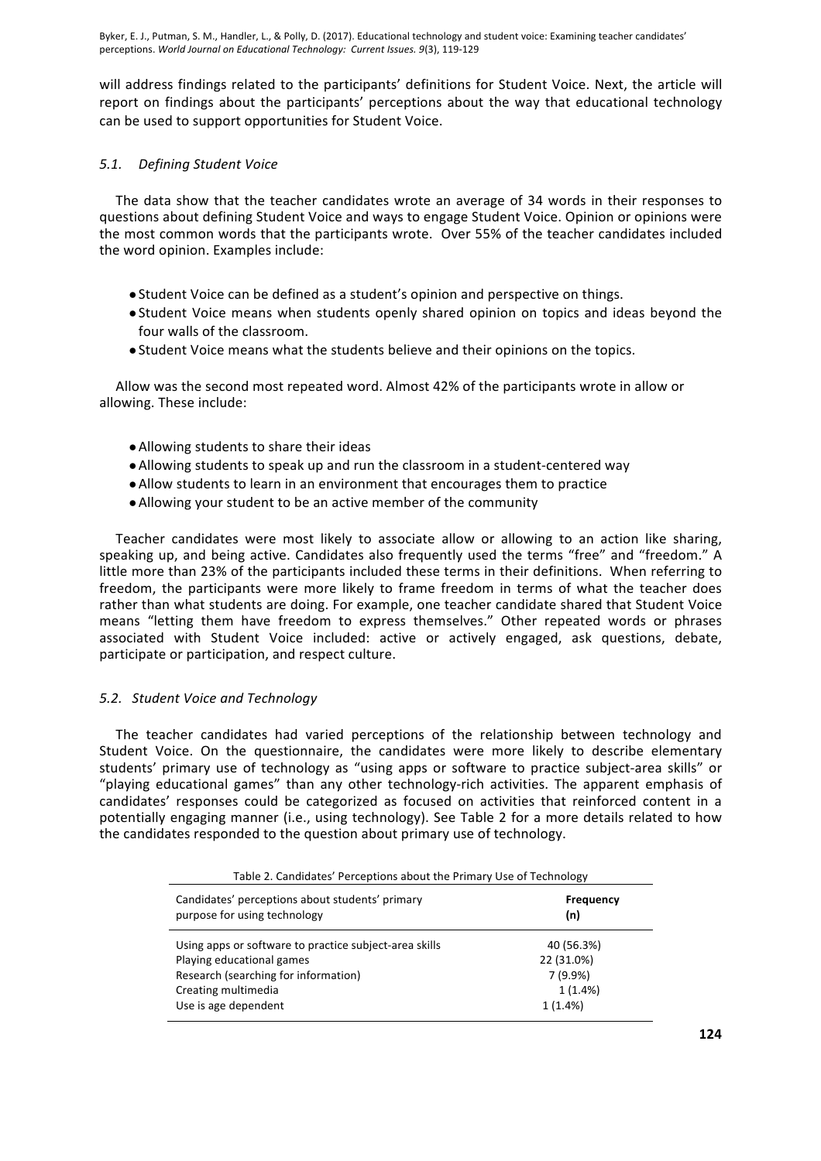will address findings related to the participants' definitions for Student Voice. Next, the article will report on findings about the participants' perceptions about the way that educational technology can be used to support opportunities for Student Voice.

## *5.1. Defining Student Voice*

The data show that the teacher candidates wrote an average of 34 words in their responses to questions about defining Student Voice and ways to engage Student Voice. Opinion or opinions were the most common words that the participants wrote. Over 55% of the teacher candidates included the word opinion. Examples include:

- Student Voice can be defined as a student's opinion and perspective on things.
- Student Voice means when students openly shared opinion on topics and ideas beyond the four walls of the classroom.
- Student Voice means what the students believe and their opinions on the topics.

Allow was the second most repeated word. Almost 42% of the participants wrote in allow or allowing. These include:

- Allowing students to share their ideas
- Allowing students to speak up and run the classroom in a student-centered way
- Allow students to learn in an environment that encourages them to practice
- Allowing your student to be an active member of the community

Teacher candidates were most likely to associate allow or allowing to an action like sharing, speaking up, and being active. Candidates also frequently used the terms "free" and "freedom." A little more than 23% of the participants included these terms in their definitions. When referring to freedom, the participants were more likely to frame freedom in terms of what the teacher does rather than what students are doing. For example, one teacher candidate shared that Student Voice means "letting them have freedom to express themselves." Other repeated words or phrases associated with Student Voice included: active or actively engaged, ask questions, debate, participate or participation, and respect culture.

## *5.2. Student Voice and Technology*

The teacher candidates had varied perceptions of the relationship between technology and Student Voice. On the questionnaire, the candidates were more likely to describe elementary students' primary use of technology as "using apps or software to practice subject-area skills" or "playing educational games" than any other technology-rich activities. The apparent emphasis of candidates' responses could be categorized as focused on activities that reinforced content in a potentially engaging manner (i.e., using technology). See Table 2 for a more details related to how the candidates responded to the question about primary use of technology.

| Table 2. Candidates' Perceptions about the Primary Use of Technology |                  |  |  |  |
|----------------------------------------------------------------------|------------------|--|--|--|
| Candidates' perceptions about students' primary                      | <b>Frequency</b> |  |  |  |
| purpose for using technology                                         | (n)              |  |  |  |
| Using apps or software to practice subject-area skills               | 40 (56.3%)       |  |  |  |
| Playing educational games                                            | 22 (31.0%)       |  |  |  |
| Research (searching for information)                                 | 7(9.9%)          |  |  |  |
| Creating multimedia                                                  | 1(1.4%)          |  |  |  |
| Use is age dependent                                                 | 1(1.4%)          |  |  |  |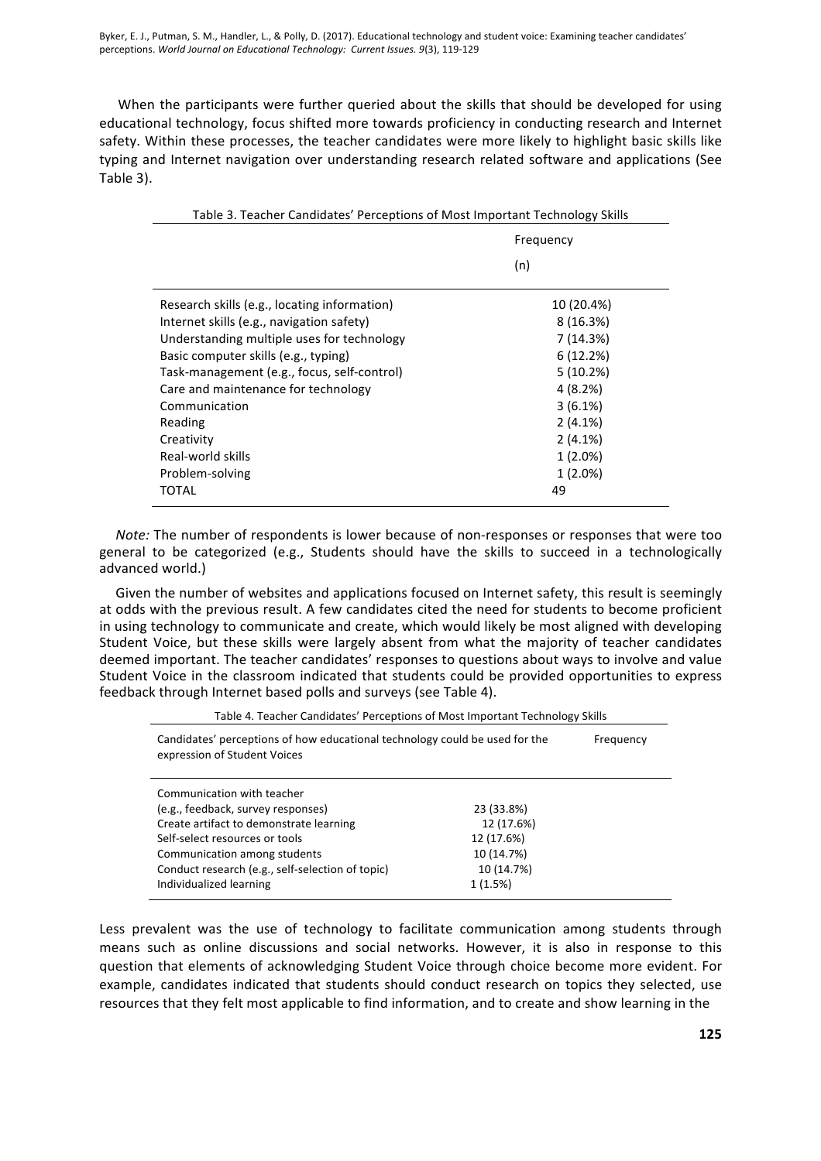When the participants were further queried about the skills that should be developed for using educational technology, focus shifted more towards proficiency in conducting research and Internet safety. Within these processes, the teacher candidates were more likely to highlight basic skills like typing and Internet navigation over understanding research related software and applications (See Table 3).

| Table 3. Teacher Candidates' Perceptions of Most Important Technology Skills |            |  |  |  |
|------------------------------------------------------------------------------|------------|--|--|--|
|                                                                              | Frequency  |  |  |  |
|                                                                              | (n)        |  |  |  |
| Research skills (e.g., locating information)                                 | 10 (20.4%) |  |  |  |
| Internet skills (e.g., navigation safety)                                    | 8(16.3%)   |  |  |  |
| Understanding multiple uses for technology                                   | 7 (14.3%)  |  |  |  |
| Basic computer skills (e.g., typing)                                         | 6(12.2%)   |  |  |  |
| Task-management (e.g., focus, self-control)                                  | 5(10.2%)   |  |  |  |
| Care and maintenance for technology                                          | 4(8.2%)    |  |  |  |
| Communication                                                                | $3(6.1\%)$ |  |  |  |
| Reading                                                                      | 2(4.1%)    |  |  |  |
| Creativity                                                                   | 2(4.1%)    |  |  |  |
| Real-world skills                                                            | $1(2.0\%)$ |  |  |  |
| Problem-solving                                                              | $1(2.0\%)$ |  |  |  |
| <b>TOTAL</b>                                                                 | 49         |  |  |  |
|                                                                              |            |  |  |  |

*Note:* The number of respondents is lower because of non-responses or responses that were too general to be categorized (e.g., Students should have the skills to succeed in a technologically advanced world.)

Given the number of websites and applications focused on Internet safety, this result is seemingly at odds with the previous result. A few candidates cited the need for students to become proficient in using technology to communicate and create, which would likely be most aligned with developing Student Voice, but these skills were largely absent from what the majority of teacher candidates deemed important. The teacher candidates' responses to questions about ways to involve and value Student Voice in the classroom indicated that students could be provided opportunities to express feedback through Internet based polls and surveys (see Table 4).

| Table 4. Teacher Candidates' Perceptions of Most Important Technology Skills |
|------------------------------------------------------------------------------|
|                                                                              |

| Candidates' perceptions of how educational technology could be used for the<br>expression of Student Voices | Frequency  |  |
|-------------------------------------------------------------------------------------------------------------|------------|--|
| Communication with teacher                                                                                  |            |  |
| (e.g., feedback, survey responses)                                                                          | 23 (33.8%) |  |
| Create artifact to demonstrate learning                                                                     | 12 (17.6%) |  |
| Self-select resources or tools                                                                              | 12 (17.6%) |  |
| Communication among students                                                                                | 10 (14.7%) |  |
| Conduct research (e.g., self-selection of topic)                                                            | 10 (14.7%) |  |
| Individualized learning                                                                                     | 1(1.5%)    |  |

Less prevalent was the use of technology to facilitate communication among students through means such as online discussions and social networks. However, it is also in response to this question that elements of acknowledging Student Voice through choice become more evident. For example, candidates indicated that students should conduct research on topics they selected, use resources that they felt most applicable to find information, and to create and show learning in the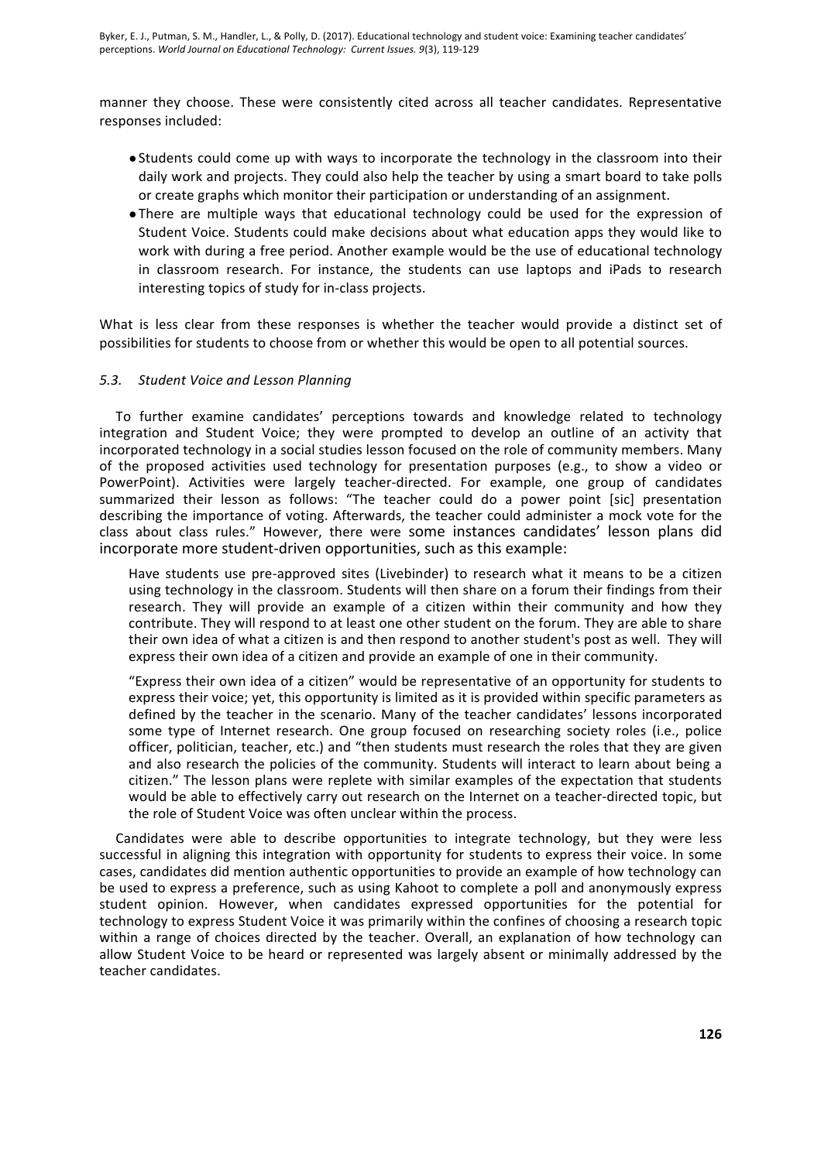manner they choose. These were consistently cited across all teacher candidates. Representative responses included:

- Students could come up with ways to incorporate the technology in the classroom into their daily work and projects. They could also help the teacher by using a smart board to take polls or create graphs which monitor their participation or understanding of an assignment.
- There are multiple ways that educational technology could be used for the expression of Student Voice. Students could make decisions about what education apps they would like to work with during a free period. Another example would be the use of educational technology in classroom research. For instance, the students can use laptops and iPads to research interesting topics of study for in-class projects.

What is less clear from these responses is whether the teacher would provide a distinct set of possibilities for students to choose from or whether this would be open to all potential sources.

#### 5.3. Student Voice and Lesson Planning

To further examine candidates' perceptions towards and knowledge related to technology integration and Student Voice; they were prompted to develop an outline of an activity that incorporated technology in a social studies lesson focused on the role of community members. Many of the proposed activities used technology for presentation purposes (e.g., to show a video or PowerPoint). Activities were largely teacher-directed. For example, one group of candidates summarized their lesson as follows: "The teacher could do a power point [sic] presentation describing the importance of voting. Afterwards, the teacher could administer a mock vote for the class about class rules." However, there were some instances candidates' lesson plans did incorporate more student-driven opportunities, such as this example:

Have students use pre-approved sites (Livebinder) to research what it means to be a citizen using technology in the classroom. Students will then share on a forum their findings from their research. They will provide an example of a citizen within their community and how they contribute. They will respond to at least one other student on the forum. They are able to share their own idea of what a citizen is and then respond to another student's post as well. They will express their own idea of a citizen and provide an example of one in their community.

"Express their own idea of a citizen" would be representative of an opportunity for students to express their voice; yet, this opportunity is limited as it is provided within specific parameters as defined by the teacher in the scenario. Many of the teacher candidates' lessons incorporated some type of Internet research. One group focused on researching society roles (i.e., police officer, politician, teacher, etc.) and "then students must research the roles that they are given and also research the policies of the community. Students will interact to learn about being a citizen." The lesson plans were replete with similar examples of the expectation that students would be able to effectively carry out research on the Internet on a teacher-directed topic, but the role of Student Voice was often unclear within the process.

Candidates were able to describe opportunities to integrate technology, but they were less successful in aligning this integration with opportunity for students to express their voice. In some cases, candidates did mention authentic opportunities to provide an example of how technology can be used to express a preference, such as using Kahoot to complete a poll and anonymously express student opinion. However, when candidates expressed opportunities for the potential for technology to express Student Voice it was primarily within the confines of choosing a research topic within a range of choices directed by the teacher. Overall, an explanation of how technology can allow Student Voice to be heard or represented was largely absent or minimally addressed by the teacher candidates.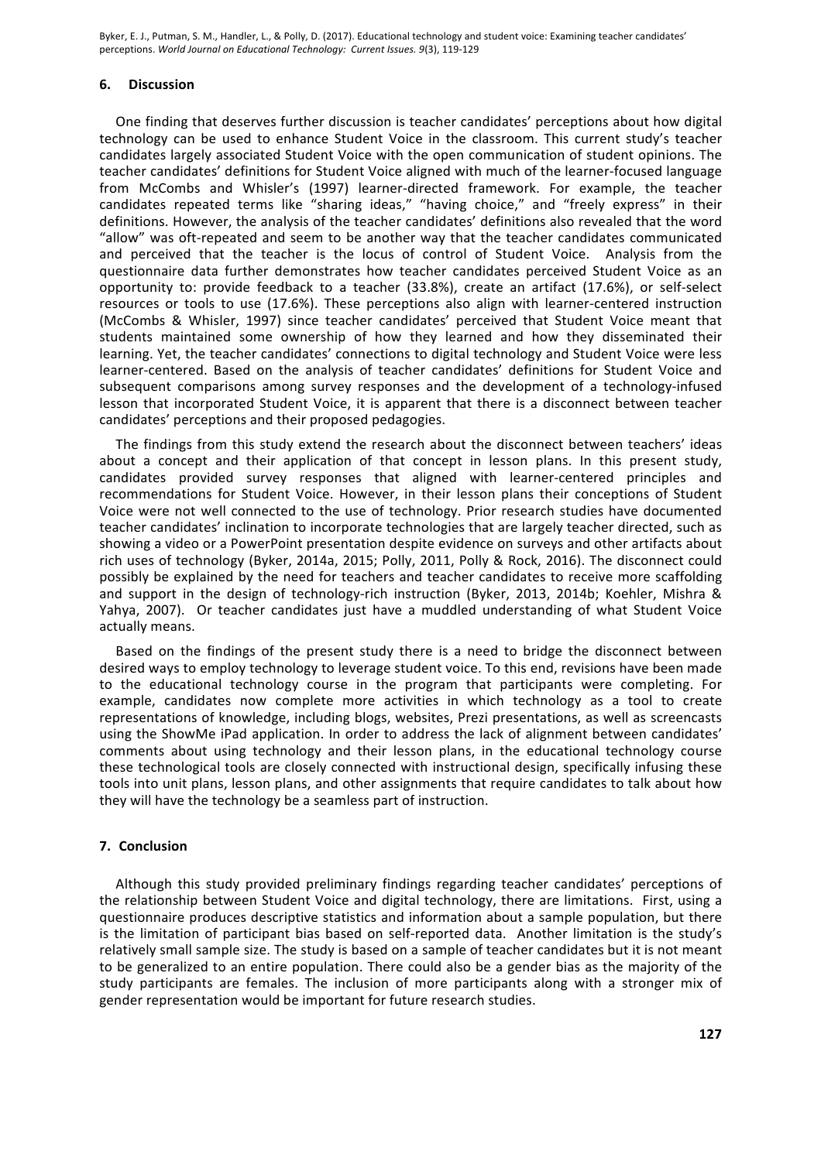#### **6. Discussion**

One finding that deserves further discussion is teacher candidates' perceptions about how digital technology can be used to enhance Student Voice in the classroom. This current study's teacher candidates largely associated Student Voice with the open communication of student opinions. The teacher candidates' definitions for Student Voice aligned with much of the learner-focused language from McCombs and Whisler's (1997) learner-directed framework. For example, the teacher candidates repeated terms like "sharing ideas," "having choice," and "freely express" in their definitions. However, the analysis of the teacher candidates' definitions also revealed that the word "allow" was oft-repeated and seem to be another way that the teacher candidates communicated and perceived that the teacher is the locus of control of Student Voice. Analysis from the questionnaire data further demonstrates how teacher candidates perceived Student Voice as an opportunity to: provide feedback to a teacher (33.8%), create an artifact (17.6%), or self-select resources or tools to use (17.6%). These perceptions also align with learner-centered instruction (McCombs & Whisler, 1997) since teacher candidates' perceived that Student Voice meant that students maintained some ownership of how they learned and how they disseminated their learning. Yet, the teacher candidates' connections to digital technology and Student Voice were less learner-centered. Based on the analysis of teacher candidates' definitions for Student Voice and subsequent comparisons among survey responses and the development of a technology-infused lesson that incorporated Student Voice, it is apparent that there is a disconnect between teacher candidates' perceptions and their proposed pedagogies.

The findings from this study extend the research about the disconnect between teachers' ideas about a concept and their application of that concept in lesson plans. In this present study, candidates provided survey responses that aligned with learner-centered principles and recommendations for Student Voice. However, in their lesson plans their conceptions of Student Voice were not well connected to the use of technology. Prior research studies have documented teacher candidates' inclination to incorporate technologies that are largely teacher directed, such as showing a video or a PowerPoint presentation despite evidence on surveys and other artifacts about rich uses of technology (Byker, 2014a, 2015; Polly, 2011, Polly & Rock, 2016). The disconnect could possibly be explained by the need for teachers and teacher candidates to receive more scaffolding and support in the design of technology-rich instruction (Byker, 2013, 2014b; Koehler, Mishra & Yahya, 2007). Or teacher candidates just have a muddled understanding of what Student Voice actually means.

Based on the findings of the present study there is a need to bridge the disconnect between desired ways to employ technology to leverage student voice. To this end, revisions have been made to the educational technology course in the program that participants were completing. For example, candidates now complete more activities in which technology as a tool to create representations of knowledge, including blogs, websites, Prezi presentations, as well as screencasts using the ShowMe iPad application. In order to address the lack of alignment between candidates' comments about using technology and their lesson plans, in the educational technology course these technological tools are closely connected with instructional design, specifically infusing these tools into unit plans, lesson plans, and other assignments that require candidates to talk about how they will have the technology be a seamless part of instruction.

#### **7. Conclusion**

Although this study provided preliminary findings regarding teacher candidates' perceptions of the relationship between Student Voice and digital technology, there are limitations. First, using a questionnaire produces descriptive statistics and information about a sample population, but there is the limitation of participant bias based on self-reported data. Another limitation is the study's relatively small sample size. The study is based on a sample of teacher candidates but it is not meant to be generalized to an entire population. There could also be a gender bias as the majority of the study participants are females. The inclusion of more participants along with a stronger mix of gender representation would be important for future research studies.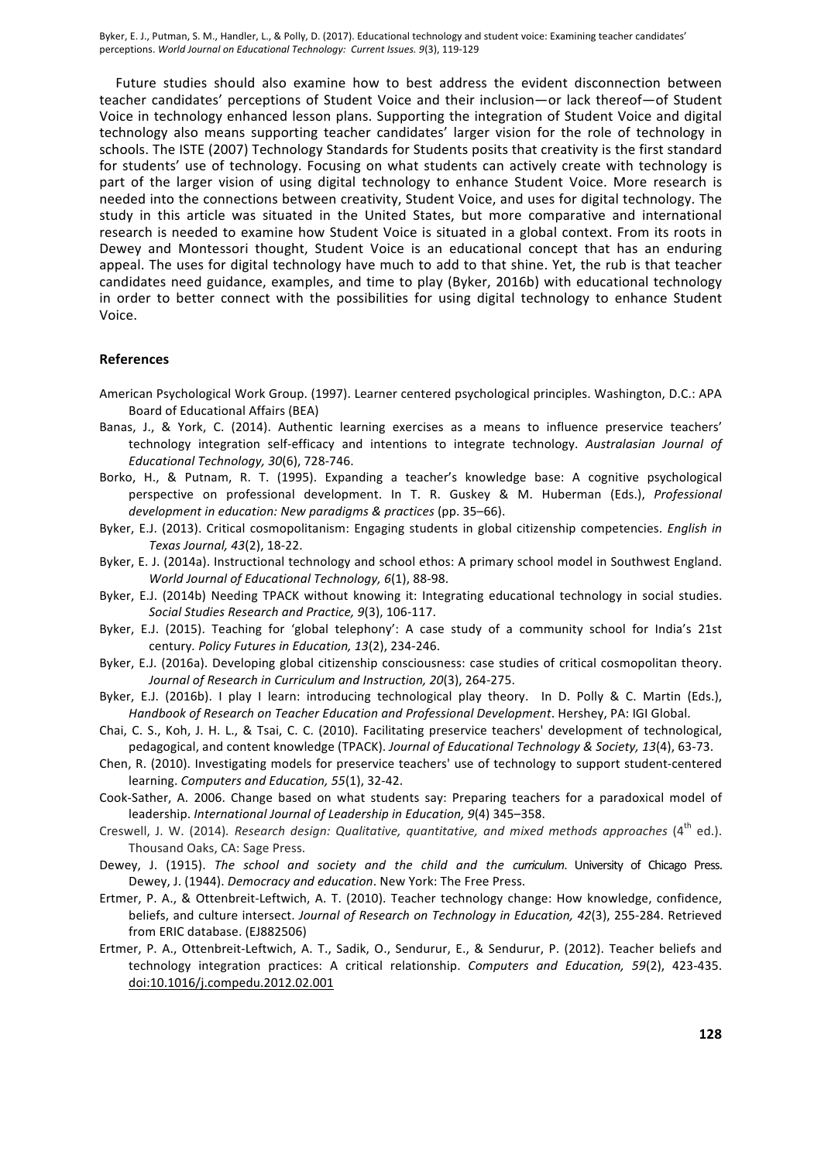Future studies should also examine how to best address the evident disconnection between teacher candidates' perceptions of Student Voice and their inclusion—or lack thereof—of Student Voice in technology enhanced lesson plans. Supporting the integration of Student Voice and digital technology also means supporting teacher candidates' larger vision for the role of technology in schools. The ISTE (2007) Technology Standards for Students posits that creativity is the first standard for students' use of technology. Focusing on what students can actively create with technology is part of the larger vision of using digital technology to enhance Student Voice. More research is needed into the connections between creativity, Student Voice, and uses for digital technology. The study in this article was situated in the United States, but more comparative and international research is needed to examine how Student Voice is situated in a global context. From its roots in Dewey and Montessori thought, Student Voice is an educational concept that has an enduring appeal. The uses for digital technology have much to add to that shine. Yet, the rub is that teacher candidates need guidance, examples, and time to play (Byker, 2016b) with educational technology in order to better connect with the possibilities for using digital technology to enhance Student Voice.

#### **References**

- American Psychological Work Group. (1997). Learner centered psychological principles. Washington, D.C.: APA Board of Educational Affairs (BEA)
- Banas, J., & York, C. (2014). Authentic learning exercises as a means to influence preservice teachers' technology integration self-efficacy and intentions to integrate technology. Australasian Journal of *Educational Technology, 30*(6), 728-746.
- Borko, H., & Putnam, R. T. (1995). Expanding a teacher's knowledge base: A cognitive psychological perspective on professional development. In T. R. Guskey & M. Huberman (Eds.), *Professional* development in education: New paradigms & practices (pp. 35–66).
- Byker, E.J. (2013). Critical cosmopolitanism: Engaging students in global citizenship competencies. *English in Texas Journal, 43*(2), 18-22.
- Byker, E. J. (2014a). Instructional technology and school ethos: A primary school model in Southwest England. *World Journal of Educational Technology, 6*(1), 88-98.
- Byker, E.J. (2014b) Needing TPACK without knowing it: Integrating educational technology in social studies. *Social Studies Research and Practice, 9*(3), 106-117.
- Byker, E.J. (2015). Teaching for 'global telephony': A case study of a community school for India's 21st century. Policy Futures in Education, 13(2), 234-246.
- Byker, E.J. (2016a). Developing global citizenship consciousness: case studies of critical cosmopolitan theory. Journal of Research in Curriculum and Instruction, 20(3), 264-275.
- Byker, E.J. (2016b). I play I learn: introducing technological play theory. In D. Polly & C. Martin (Eds.), Handbook of Research on Teacher Education and Professional Development. Hershey, PA: IGI Global.
- Chai, C. S., Koh, J. H. L., & Tsai, C. C. (2010). Facilitating preservice teachers' development of technological, pedagogical, and content knowledge (TPACK). Journal of Educational Technology & Society, 13(4), 63-73.
- Chen, R. (2010). Investigating models for preservice teachers' use of technology to support student-centered learning. *Computers and Education*, 55(1), 32-42.
- Cook-Sather, A. 2006. Change based on what students say: Preparing teachers for a paradoxical model of leadership. International Journal of Leadership in Education, 9(4) 345–358.
- Creswell, J. W. (2014). Research design: Qualitative, quantitative, and mixed methods approaches (4<sup>th</sup> ed.). Thousand Oaks, CA: Sage Press.
- Dewey, J. (1915). The school and society and the child and the curriculum. University of Chicago Press. Dewey, J. (1944). *Democracy and education*. New York: The Free Press.
- Ertmer, P. A., & Ottenbreit-Leftwich, A. T. (2010). Teacher technology change: How knowledge, confidence, beliefs, and culture intersect. *Journal of Research on Technology in Education, 42*(3), 255-284. Retrieved from ERIC database. (EJ882506)
- Ertmer, P. A., Ottenbreit-Leftwich, A. T., Sadik, O., Sendurur, E., & Sendurur, P. (2012). Teacher beliefs and technology integration practices: A critical relationship. *Computers and Education, 59*(2), 423-435. doi:10.1016/j.compedu.2012.02.001